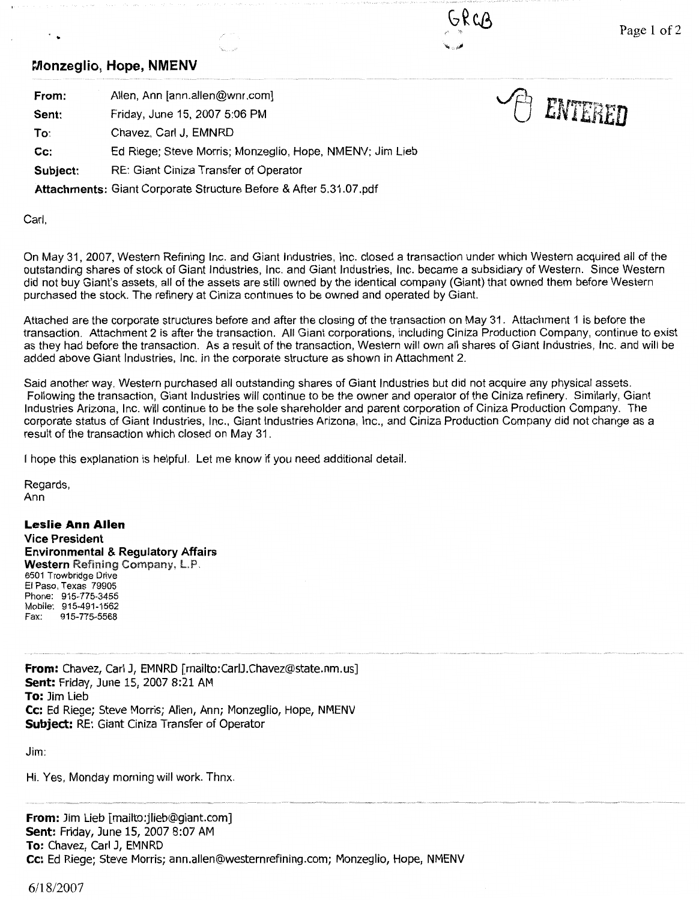**19 ENTERED** 

## **Monzeglio, Hope, NMENV**

..

- **From:**  Allen, Ann [ann.allen@wnr.com]
- **Sent:**  Friday, June 15, 2007 5:06 PM

**To:**  Chavez, Carl J, EMNRD

**Cc:**  Ed Riege; Steve Morris; Monzeglio, Hope, NMENV; Jim Lieb

**Subject:** RE: Giant Ciniza Transfer of Operator

**Attachments:** Giant Corporate Structure Before & After 5.31.07.pdf

Carl,

On May 31, 2007, Western Refining Inc. and Giant Industries, Inc. closed a transaction under which Western acquired all of the outstanding shares of stock of Giant Industries, Inc. and Giant Industries, Inc. became a subsidiary of Western. Since Western did not buy Giant's assets, all of the assets are still owned by the identical company (Giant) that owned them before Western purchased the stock. The refinery at Ciniza continues to be owned and operated by Giant.

Attached are the corporate structures before and after the closing of the transaction on May 31. Attachment 1 is before the transaction. Attachment 2 is after the transaction. All Giant corporations, including Ciniza Production Company, continue to exist as they had before the transaction. As a result of the transaction, Western will own all shares of Giant Industries, Inc. and will be added above Giant Industries, Inc. in the corporate structure as shown in Attachment 2.

Said another way, Western purchased all outstanding shares of Giant Industries but did not acquire any physical assets. Following the transaction, Giant Industries will continue to be the owner and operator of the Ciniza refinery. Similarly, Giant Industries Arizona, Inc. will continue to be the sole shareholder and parent corporation of Ciniza Production Company. The corporate status of Giant Industries, Inc., Giant Industries Arizona, Inc., and Ciniza Production Company did not change as a result of the transaction which closed on May 31.

I hope this explanation is helpful. Let me know if you need additional detail.

Regards, Ann

**Leslie Ann Allen Vice President Environmental & Regulatory Affairs Western** Refining Company, LP. 6501 Trowbridge Drive El Paso, Texas 79905 Phone: 915-775-3455 Mobile: 915-491-1562 Fax: 915-775-5568

**From:** Chavez, Carl J, EMNRD [mailto:CarlJ.Chavez@state.nm.us] **Sent:** Friday, June 15, 2007 8:21 AM **To:** Jim Lieb **Cc:** Ed Riege; Steve Morris; Allen, Ann; Monzeglio, Hope, NMENV **Subject:** RE: Giant Ciniza Transfer of Operator

Jim:

Hi. Yes, Monday morning will work. Thnx.

**From:** Jim Lieb [mailto:jlieb@giant.com] **Sent:** Friday, June 15, 2007 8:07 AM **To:** Chavez, Carl J, EMNRD **Cc:** Ed Riege; Steve Morris; ann.allen@westernrefining.com; Monzeglio, Hope, NMENV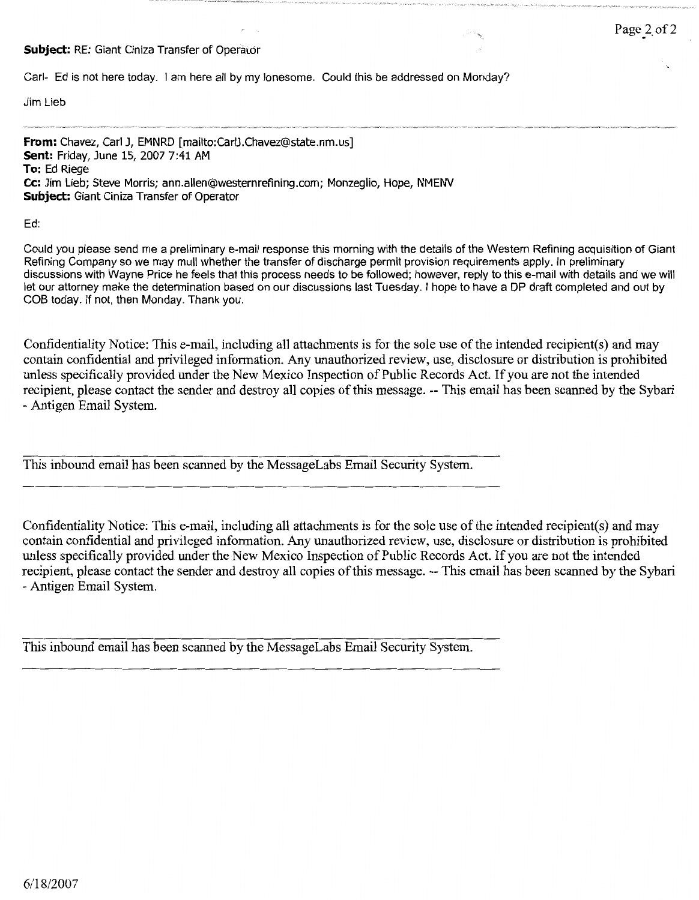## **Subject: RE: Giant Ciniza Transfer of Operator**

Carl- Ed is not here today. I am here all by my lonesome. Could this be addressed on Monday?

Jim Lieb

**From:** Chavez, Carl J, EMNRD [mailto:CarlJ.Chavez@state.nm.us] **Sent:** Friday, June 15, 2007 7:41 AM **To:** Ed Riege **Cc:** Jim Lieb; Steve Morris; ann.allen@westernrefining.com; Monzeglio, Hope, NMENV **Subject:** Giant Ciniza Transfer of Operator

Ed:

Could you please send me a preliminary e-mail response this morning with the details of the Western Refining acquisition of Giant Refining Company so we may mull whether the transfer of discharge permit provision requirements apply. In preliminary discussions with Wayne Price he feels that this process needs to be followed; however, reply to this e-mail with details and we will let our attorney make the determination based on our discussions last Tuesday. I hope to have a DP draft completed and out by COB today. If not, then Monday. Thank you.

Confidentiality Notice: This e-mail, including all attachments is for the sole use of the intended recipient(s) and may contain confidential and privileged information. Any unauthorized review, use, disclosure or distribution is prohibited unless specifically provided under the New Mexico Inspection of Public Records Act. If you are not the intended recipient, please contact the sender and destroy all copies of this message. -- This email has been scanned by the Sybari - Antigen Email System.

This inbound email has been scanned by the MessageLabs Email Security System.

Confidentiality Notice: This e-mail, including all attachments is for the sole use of the intended recipient(s) and may contain confidential and privileged information. Any unauthorized review, use, disclosure or distribution is prohibited unless specifically provided under the New Mexico Inspection of Public Records Act. If you are not the intended recipient, please contact the sender and destroy all copies of this message. -- This email has been scanned by the Sybari - Antigen Email System.

This inbound email has been scanned by the MessageLabs Email Security System.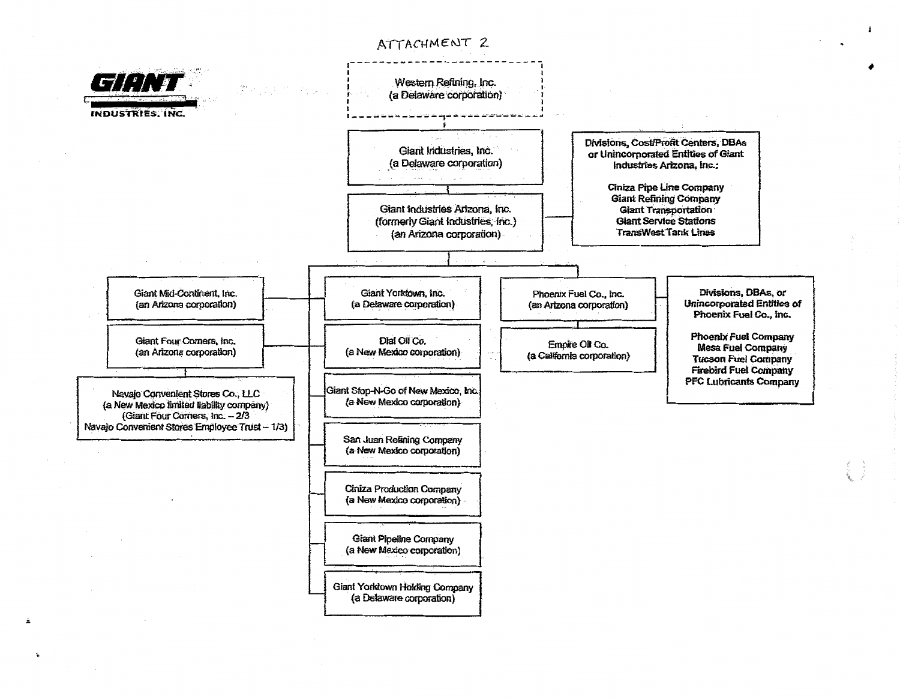

ç,